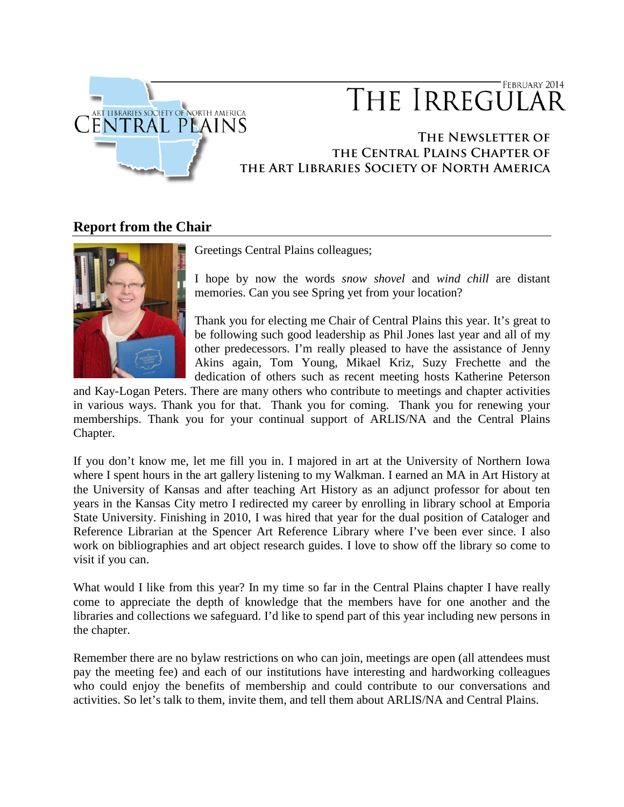

# FEBRUARY 2014 THE IRREGULAR

## **The Newsletter of the Central Plains Chapter of the Art Libraries Society of North America**

# **Report from the Chair**



Greetings Central Plains colleagues;

I hope by now the words *snow shovel* and *wind chill* are distant memories. Can you see Spring yet from your location?

Thank you for electing me Chair of Central Plains this year. It's great to be following such good leadership as Phil Jones last year and all of my other predecessors. I'm really pleased to have the assistance of Jenny Akins again, Tom Young, Mikael Kriz, Suzy Frechette and the dedication of others such as recent meeting hosts Katherine Peterson

and Kay-Logan Peters. There are many others who contribute to meetings and chapter activities in various ways. Thank you for that. Thank you for coming. Thank you for renewing your memberships. Thank you for your continual support of ARLIS/NA and the Central Plains Chapter.

If you don't know me, let me fill you in. I majored in art at the University of Northern Iowa where I spent hours in the art gallery listening to my Walkman. I earned an MA in Art History at the University of Kansas and after teaching Art History as an adjunct professor for about ten years in the Kansas City metro I redirected my career by enrolling in library school at Emporia State University. Finishing in 2010, I was hired that year for the dual position of Cataloger and Reference Librarian at the Spencer Art Reference Library where I've been ever since. I also work on bibliographies and art object research guides. I love to show off the library so come to visit if you can.

What would I like from this year? In my time so far in the Central Plains chapter I have really come to appreciate the depth of knowledge that the members have for one another and the libraries and collections we safeguard. I'd like to spend part of this year including new persons in the chapter.

Remember there are no bylaw restrictions on who can join, meetings are open (all attendees must pay the meeting fee) and each of our institutions have interesting and hardworking colleagues who could enjoy the benefits of membership and could contribute to our conversations and activities. So let's talk to them, invite them, and tell them about ARLIS/NA and Central Plains.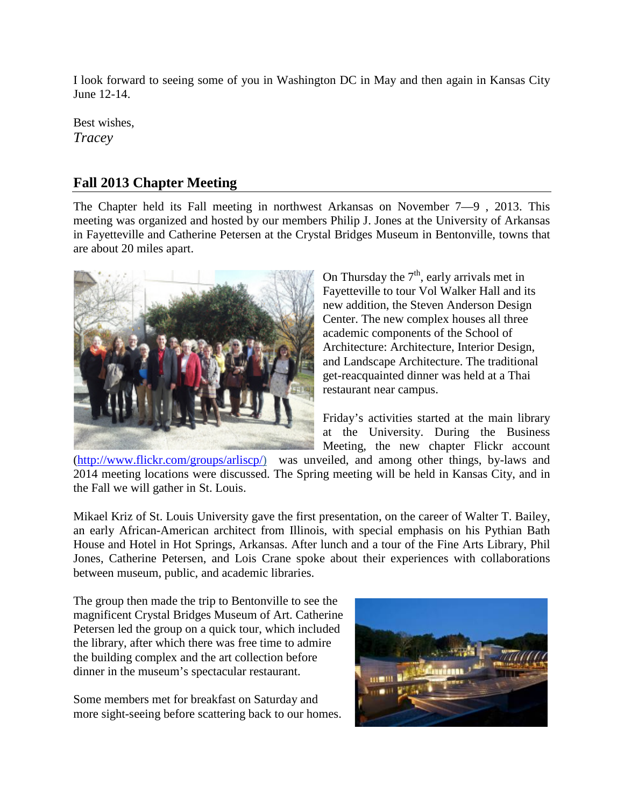I look forward to seeing some of you in Washington DC in May and then again in Kansas City June 12-14.

Best wishes, *Tracey*

# **Fall 2013 Chapter Meeting**

The Chapter held its Fall meeting in northwest Arkansas on November 7—9 , 2013. This meeting was organized and hosted by our members Philip J. Jones at the University of Arkansas in Fayetteville and Catherine Petersen at the Crystal Bridges Museum in Bentonville, towns that are about 20 miles apart.



On Thursday the  $7<sup>th</sup>$ , early arrivals met in Fayetteville to tour Vol Walker Hall and its new addition, the Steven Anderson Design Center. The new complex houses all three academic components of the School of Architecture: Architecture, Interior Design, and Landscape Architecture. The traditional get-reacquainted dinner was held at a Thai restaurant near campus.

Friday's activities started at the main library at the University. During the Business Meeting, the new chapter Flickr account

[\(http://www.flickr.com/groups/arliscp/\)](http://www.flickr.com/groups/arliscp/) was unveiled, and among other things, by-laws and 2014 meeting locations were discussed. The Spring meeting will be held in Kansas City, and in the Fall we will gather in St. Louis.

Mikael Kriz of St. Louis University gave the first presentation, on the career of Walter T. Bailey, an early African-American architect from Illinois, with special emphasis on his Pythian Bath House and Hotel in Hot Springs, Arkansas. After lunch and a tour of the Fine Arts Library, Phil Jones, Catherine Petersen, and Lois Crane spoke about their experiences with collaborations between museum, public, and academic libraries.

The group then made the trip to Bentonville to see the magnificent Crystal Bridges Museum of Art. Catherine Petersen led the group on a quick tour, which included the library, after which there was free time to admire the building complex and the art collection before dinner in the museum's spectacular restaurant.

Some members met for breakfast on Saturday and more sight-seeing before scattering back to our homes.

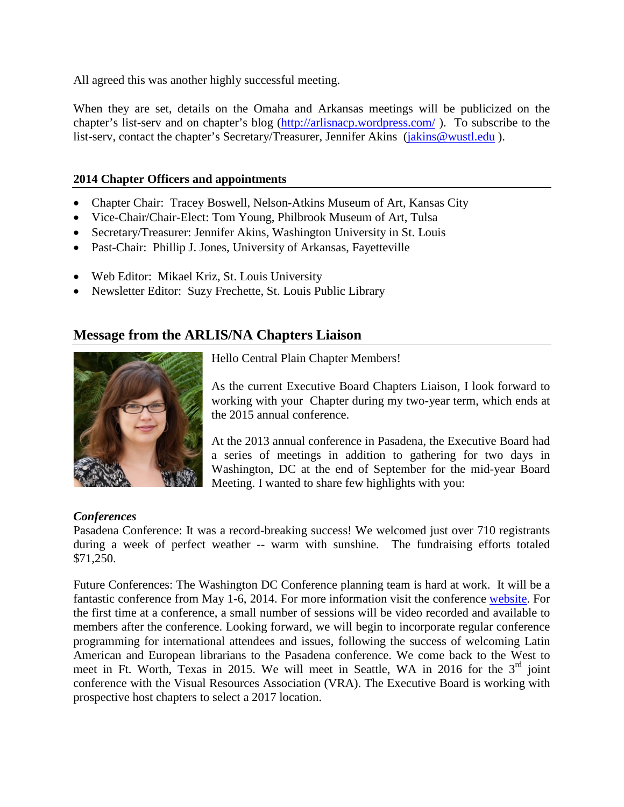All agreed this was another highly successful meeting.

When they are set, details on the Omaha and Arkansas meetings will be publicized on the chapter's list-serv and on chapter's blog [\(http://arlisnacp.wordpress.com/](http://arlisnacp.wordpress.com/)). To subscribe to the list-serv, contact the chapter's Secretary/Treasurer, Jennifer Akins [\(jakins@wustl.edu](mailto:jakins@wustl.edu)).

#### **2014 Chapter Officers and appointments**

- Chapter Chair: Tracey Boswell, Nelson-Atkins Museum of Art, Kansas City
- Vice-Chair/Chair-Elect: Tom Young, Philbrook Museum of Art, Tulsa
- Secretary/Treasurer: Jennifer Akins, Washington University in St. Louis
- Past-Chair: Phillip J. Jones, University of Arkansas, Favetteville
- Web Editor: Mikael Kriz, St. Louis University
- Newsletter Editor: Suzy Frechette, St. Louis Public Library

# **Message from the ARLIS/NA Chapters Liaison**



Hello Central Plain Chapter Members!

As the current Executive Board Chapters Liaison, I look forward to working with your Chapter during my two-year term, which ends at the 2015 annual conference.

At the 2013 annual conference in Pasadena, the Executive Board had a series of meetings in addition to gathering for two days in Washington, DC at the end of September for the mid-year Board Meeting. I wanted to share few highlights with you:

## *Conferences*

Pasadena Conference: It was a record-breaking success! We welcomed just over 710 registrants during a week of perfect weather -- warm with sunshine. The fundraising efforts totaled \$71,250.

Future Conferences: The Washington DC Conference planning team is hard at work. It will be a fantastic conference from May 1-6, 2014. For more information visit the conference [website.](http://www.arlisna.org/washingtondc2014/index.php) For the first time at a conference, a small number of sessions will be video recorded and available to members after the conference. Looking forward, we will begin to incorporate regular conference programming for international attendees and issues, following the success of welcoming Latin American and European librarians to the Pasadena conference. We come back to the West to meet in Ft. Worth, Texas in 2015. We will meet in Seattle, WA in 2016 for the  $3<sup>rd</sup>$  joint conference with the Visual Resources Association (VRA). The Executive Board is working with prospective host chapters to select a 2017 location.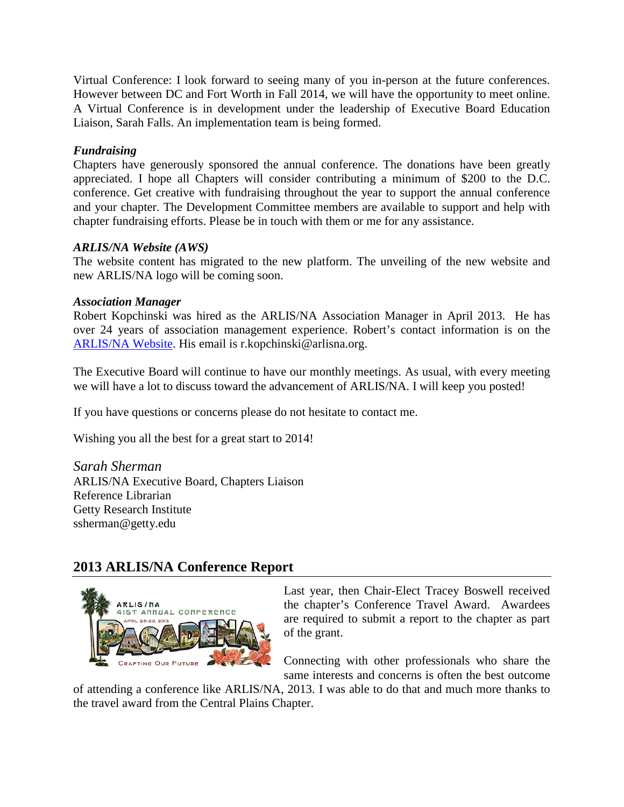Virtual Conference: I look forward to seeing many of you in-person at the future conferences. However between DC and Fort Worth in Fall 2014, we will have the opportunity to meet online. A Virtual Conference is in development under the leadership of Executive Board Education Liaison, Sarah Falls. An implementation team is being formed.

## *Fundraising*

Chapters have generously sponsored the annual conference. The donations have been greatly appreciated. I hope all Chapters will consider contributing a minimum of \$200 to the D.C. conference. Get creative with fundraising throughout the year to support the annual conference and your chapter. The Development Committee members are available to support and help with chapter fundraising efforts. Please be in touch with them or me for any assistance.

## *ARLIS/NA Website (AWS)*

The website content has migrated to the new platform. The unveiling of the new website and new ARLIS/NA logo will be coming soon.

## *Association Manager*

Robert Kopchinski was hired as the ARLIS/NA Association Manager in April 2013. He has over 24 years of association management experience. Robert's contact information is on the [ARLIS/NA Website.](http://www.arlisna.org/organization/exec_board.html) His email is [r.kopchinski@arlisna.org.](mailto:r.kopchinski@arlisna.org)

The Executive Board will continue to have our monthly meetings. As usual, with every meeting we will have a lot to discuss toward the advancement of ARLIS/NA. I will keep you posted!

If you have questions or concerns please do not hesitate to contact me.

Wishing you all the best for a great start to 2014!

*Sarah Sherman* ARLIS/NA Executive Board, Chapters Liaison Reference Librarian Getty Research Institute ssherman@getty.edu

# **2013 ARLIS/NA Conference Report**



Last year, then Chair-Elect Tracey Boswell received the chapter's Conference Travel Award. Awardees are required to submit a report to the chapter as part of the grant.

Connecting with other professionals who share the same interests and concerns is often the best outcome

of attending a conference like ARLIS/NA, 2013. I was able to do that and much more thanks to the travel award from the Central Plains Chapter.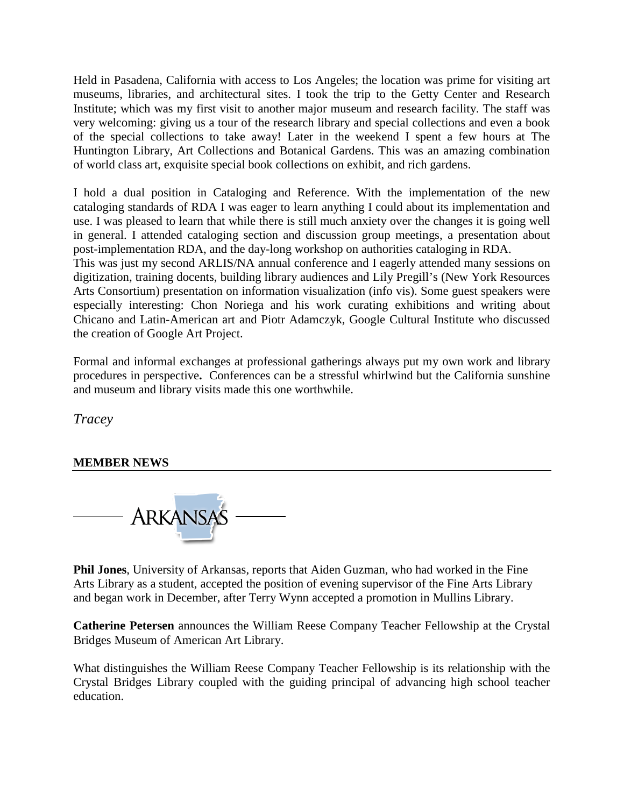Held in Pasadena, California with access to Los Angeles; the location was prime for visiting art museums, libraries, and architectural sites. I took the trip to the Getty Center and Research Institute; which was my first visit to another major museum and research facility. The staff was very welcoming: giving us a tour of the research library and special collections and even a book of the special collections to take away! Later in the weekend I spent a few hours at The Huntington Library, Art Collections and Botanical Gardens. This was an amazing combination of world class art, exquisite special book collections on exhibit, and rich gardens.

I hold a dual position in Cataloging and Reference. With the implementation of the new cataloging standards of RDA I was eager to learn anything I could about its implementation and use. I was pleased to learn that while there is still much anxiety over the changes it is going well in general. I attended cataloging section and discussion group meetings, a presentation about post-implementation RDA, and the day-long workshop on authorities cataloging in RDA.

This was just my second ARLIS/NA annual conference and I eagerly attended many sessions on digitization, training docents, building library audiences and Lily Pregill's (New York Resources Arts Consortium) presentation on information visualization (info vis). Some guest speakers were especially interesting: Chon Noriega and his work curating exhibitions and writing about Chicano and Latin-American art and Piotr Adamczyk, Google Cultural Institute who discussed the creation of Google Art Project.

Formal and informal exchanges at professional gatherings always put my own work and library procedures in perspective**.** Conferences can be a stressful whirlwind but the California sunshine and museum and library visits made this one worthwhile.

*Tracey*

## **MEMBER NEWS**



**Phil Jones**, University of Arkansas, reports that Aiden Guzman, who had worked in the Fine Arts Library as a student, accepted the position of evening supervisor of the Fine Arts Library and began work in December, after Terry Wynn accepted a promotion in Mullins Library.

**Catherine Petersen** announces the William Reese Company Teacher Fellowship at the Crystal Bridges Museum of American Art Library.

What distinguishes the William Reese Company Teacher Fellowship is its relationship with the Crystal Bridges Library coupled with the guiding principal of advancing high school teacher education.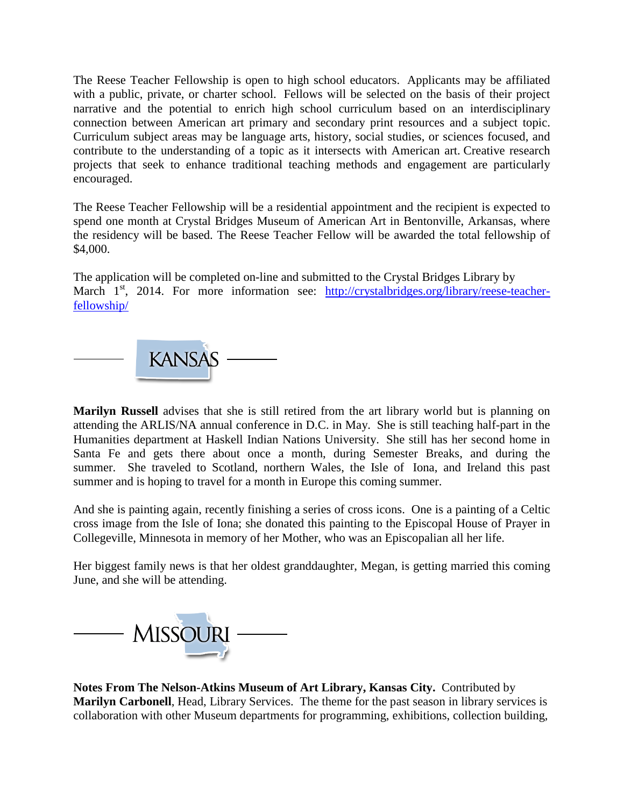The Reese Teacher Fellowship is open to high school educators. Applicants may be affiliated with a public, private, or charter school. Fellows will be selected on the basis of their project narrative and the potential to enrich high school curriculum based on an interdisciplinary connection between American art primary and secondary print resources and a subject topic. Curriculum subject areas may be language arts, history, social studies, or sciences focused, and contribute to the understanding of a topic as it intersects with American art. Creative research projects that seek to enhance traditional teaching methods and engagement are particularly encouraged.

The Reese Teacher Fellowship will be a residential appointment and the recipient is expected to spend one month at Crystal Bridges Museum of American Art in Bentonville, Arkansas, where the residency will be based. The Reese Teacher Fellow will be awarded the total fellowship of \$4,000.

The application will be completed on-line and submitted to the Crystal Bridges Library by March  $1<sup>st</sup>$ , 2014. For more information see: [http://crystalbridges.org/library/reese-teacher](http://crystalbridges.org/library/reese-teacher-fellowship/)[fellowship/](http://crystalbridges.org/library/reese-teacher-fellowship/)



**Marilyn Russell** advises that she is still retired from the art library world but is planning on attending the ARLIS/NA annual conference in D.C. in May. She is still teaching half-part in the Humanities department at Haskell Indian Nations University. She still has her second home in Santa Fe and gets there about once a month, during Semester Breaks, and during the summer. She traveled to Scotland, northern Wales, the Isle of Iona, and Ireland this past summer and is hoping to travel for a month in Europe this coming summer.

And she is painting again, recently finishing a series of cross icons. One is a painting of a Celtic cross image from the Isle of Iona; she donated this painting to the Episcopal House of Prayer in Collegeville, Minnesota in memory of her Mother, who was an Episcopalian all her life.

Her biggest family news is that her oldest granddaughter, Megan, is getting married this coming June, and she will be attending.



**Notes From The Nelson-Atkins Museum of Art Library, Kansas City.** Contributed by **Marilyn Carbonell**, Head, Library Services. The theme for the past season in library services is collaboration with other Museum departments for programming, exhibitions, collection building,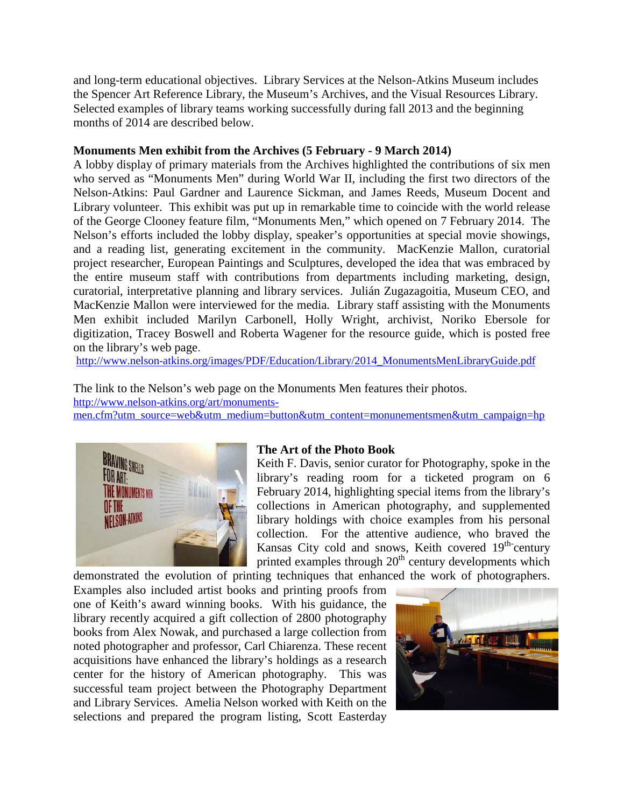and long-term educational objectives. Library Services at the Nelson-Atkins Museum includes the Spencer Art Reference Library, the Museum's Archives, and the Visual Resources Library. Selected examples of library teams working successfully during fall 2013 and the beginning months of 2014 are described below.

#### **Monuments Men exhibit from the Archives (5 February - 9 March 2014)**

A lobby display of primary materials from the Archives highlighted the contributions of six men who served as "Monuments Men" during World War II, including the first two directors of the Nelson-Atkins: Paul Gardner and Laurence Sickman, and James Reeds, Museum Docent and Library volunteer. This exhibit was put up in remarkable time to coincide with the world release of the George Clooney feature film, "Monuments Men," which opened on 7 February 2014. The Nelson's efforts included the lobby display, speaker's opportunities at special movie showings, and a reading list, generating excitement in the community. MacKenzie Mallon, curatorial project researcher, European Paintings and Sculptures, developed the idea that was embraced by the entire museum staff with contributions from departments including marketing, design, curatorial, interpretative planning and library services. Julián Zugazagoitia, Museum CEO, and MacKenzie Mallon were interviewed for the media. Library staff assisting with the Monuments Men exhibit included Marilyn Carbonell, Holly Wright, archivist, Noriko Ebersole for digitization, Tracey Boswell and Roberta Wagener for the resource guide, which is posted free on the library's web page.

[http://www.nelson-atkins.org/images/PDF/Education/Library/2014\\_MonumentsMenLibraryGuide.pdf](http://www.nelson-atkins.org/images/PDF/Education/Library/2014_MonumentsMenLibraryGuide.pdf)

The link to the Nelson's web page on the Monuments Men features their photos. [http://www.nelson-atkins.org/art/monuments](http://www.nelson-atkins.org/art/monuments-men.cfm?utm_source=web&utm_medium=button&utm_content=monunementsmen&utm_campaign=hp)[men.cfm?utm\\_source=web&utm\\_medium=button&utm\\_content=monunementsmen&utm\\_campaign=hp](http://www.nelson-atkins.org/art/monuments-men.cfm?utm_source=web&utm_medium=button&utm_content=monunementsmen&utm_campaign=hp)



#### **The Art of the Photo Book**

Keith F. Davis, senior curator for Photography, spoke in the library's reading room for a ticketed program on 6 February 2014, highlighting special items from the library's collections in American photography, and supplemented library holdings with choice examples from his personal collection. For the attentive audience, who braved the Kansas City cold and snows, Keith covered 19<sup>th-</sup>century printed examples through  $20<sup>th</sup>$  century developments which

demonstrated the evolution of printing techniques that enhanced the work of photographers. Examples also included artist books and printing proofs from one of Keith's award winning books. With his guidance, the library recently acquired a gift collection of 2800 photography books from Alex Nowak, and purchased a large collection from noted photographer and professor, Carl Chiarenza. These recent acquisitions have enhanced the library's holdings as a research center for the history of American photography. This was successful team project between the Photography Department and Library Services. Amelia Nelson worked with Keith on the selections and prepared the program listing, Scott Easterday

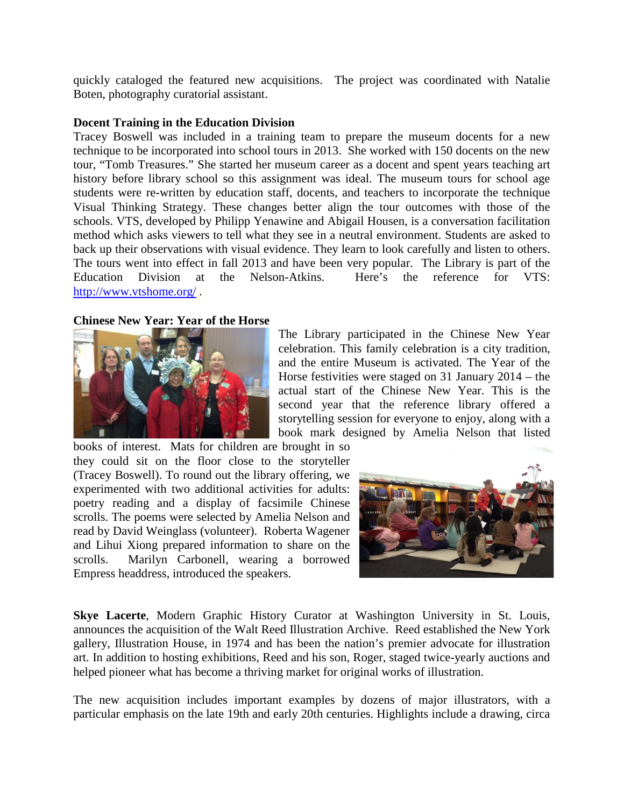quickly cataloged the featured new acquisitions. The project was coordinated with Natalie Boten, photography curatorial assistant.

#### **Docent Training in the Education Division**

Tracey Boswell was included in a training team to prepare the museum docents for a new technique to be incorporated into school tours in 2013. She worked with 150 docents on the new tour, "Tomb Treasures." She started her museum career as a docent and spent years teaching art history before library school so this assignment was ideal. The museum tours for school age students were re-written by education staff, docents, and teachers to incorporate the technique Visual Thinking Strategy. These changes better align the tour outcomes with those of the schools. VTS, developed by Philipp Yenawine and Abigail Housen, is a conversation facilitation method which asks viewers to tell what they see in a neutral environment. Students are asked to back up their observations with visual evidence. They learn to look carefully and listen to others. The tours went into effect in fall 2013 and have been very popular. The Library is part of the Education Division at the Nelson-Atkins. Here's the reference for VTS: <http://www.vtshome.org/> .

#### **Chinese New Year: Year of the Horse**



The Library participated in the Chinese New Year celebration. This family celebration is a city tradition, and the entire Museum is activated. The Year of the Horse festivities were staged on 31 January 2014 – the actual start of the Chinese New Year. This is the second year that the reference library offered a storytelling session for everyone to enjoy, along with a book mark designed by Amelia Nelson that listed

books of interest. Mats for children are brought in so they could sit on the floor close to the storyteller (Tracey Boswell). To round out the library offering, we experimented with two additional activities for adults: poetry reading and a display of facsimile Chinese scrolls. The poems were selected by Amelia Nelson and read by David Weinglass (volunteer). Roberta Wagener and Lihui Xiong prepared information to share on the scrolls. Marilyn Carbonell, wearing a borrowed Empress headdress, introduced the speakers.



**Skye Lacerte**, Modern Graphic History Curator at Washington University in St. Louis, announces the acquisition of the Walt Reed Illustration Archive. Reed established the New York gallery, Illustration House, in 1974 and has been the nation's premier advocate for illustration art. In addition to hosting exhibitions, Reed and his son, Roger, staged twice-yearly auctions and helped pioneer what has become a thriving market for original works of illustration.

The new acquisition includes important examples by dozens of major illustrators, with a particular emphasis on the late 19th and early 20th centuries. Highlights include a drawing, circa